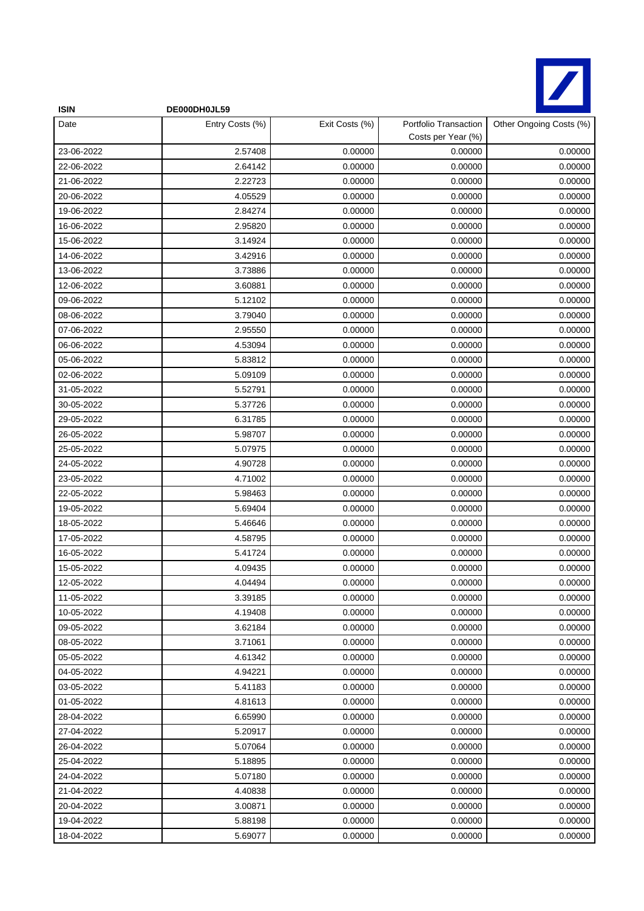

| <b>ISIN</b> | DE000DH0JL59    |                |                                             |                         |
|-------------|-----------------|----------------|---------------------------------------------|-------------------------|
| Date        | Entry Costs (%) | Exit Costs (%) | Portfolio Transaction<br>Costs per Year (%) | Other Ongoing Costs (%) |
| 23-06-2022  | 2.57408         | 0.00000        | 0.00000                                     | 0.00000                 |
| 22-06-2022  | 2.64142         | 0.00000        | 0.00000                                     | 0.00000                 |
| 21-06-2022  | 2.22723         | 0.00000        | 0.00000                                     | 0.00000                 |
| 20-06-2022  | 4.05529         | 0.00000        | 0.00000                                     | 0.00000                 |
| 19-06-2022  | 2.84274         | 0.00000        | 0.00000                                     | 0.00000                 |
| 16-06-2022  | 2.95820         | 0.00000        | 0.00000                                     | 0.00000                 |
| 15-06-2022  | 3.14924         | 0.00000        | 0.00000                                     | 0.00000                 |
| 14-06-2022  | 3.42916         | 0.00000        | 0.00000                                     | 0.00000                 |
| 13-06-2022  | 3.73886         | 0.00000        | 0.00000                                     | 0.00000                 |
| 12-06-2022  | 3.60881         | 0.00000        | 0.00000                                     | 0.00000                 |
| 09-06-2022  | 5.12102         | 0.00000        | 0.00000                                     | 0.00000                 |
| 08-06-2022  | 3.79040         | 0.00000        | 0.00000                                     | 0.00000                 |
| 07-06-2022  | 2.95550         | 0.00000        | 0.00000                                     | 0.00000                 |
| 06-06-2022  | 4.53094         | 0.00000        | 0.00000                                     | 0.00000                 |
| 05-06-2022  | 5.83812         | 0.00000        | 0.00000                                     | 0.00000                 |
| 02-06-2022  | 5.09109         | 0.00000        | 0.00000                                     | 0.00000                 |
| 31-05-2022  | 5.52791         | 0.00000        | 0.00000                                     | 0.00000                 |
| 30-05-2022  | 5.37726         | 0.00000        | 0.00000                                     | 0.00000                 |
| 29-05-2022  | 6.31785         | 0.00000        | 0.00000                                     | 0.00000                 |
| 26-05-2022  | 5.98707         | 0.00000        | 0.00000                                     | 0.00000                 |
| 25-05-2022  | 5.07975         | 0.00000        | 0.00000                                     | 0.00000                 |
| 24-05-2022  | 4.90728         | 0.00000        | 0.00000                                     | 0.00000                 |
| 23-05-2022  | 4.71002         | 0.00000        | 0.00000                                     | 0.00000                 |
| 22-05-2022  | 5.98463         | 0.00000        | 0.00000                                     | 0.00000                 |
| 19-05-2022  | 5.69404         | 0.00000        | 0.00000                                     | 0.00000                 |
| 18-05-2022  | 5.46646         | 0.00000        | 0.00000                                     | 0.00000                 |
| 17-05-2022  | 4.58795         | 0.00000        | 0.00000                                     | 0.00000                 |
| 16-05-2022  | 5.41724         | 0.00000        | 0.00000                                     | 0.00000                 |
| 15-05-2022  | 4.09435         | 0.00000        | 0.00000                                     | 0.00000                 |
| 12-05-2022  | 4.04494         | 0.00000        | 0.00000                                     | 0.00000                 |
| 11-05-2022  | 3.39185         | 0.00000        | 0.00000                                     | 0.00000                 |
| 10-05-2022  | 4.19408         | 0.00000        | 0.00000                                     | 0.00000                 |
| 09-05-2022  | 3.62184         | 0.00000        | 0.00000                                     | 0.00000                 |
| 08-05-2022  | 3.71061         | 0.00000        | 0.00000                                     | 0.00000                 |
| 05-05-2022  | 4.61342         | 0.00000        | 0.00000                                     | 0.00000                 |
| 04-05-2022  | 4.94221         | 0.00000        | 0.00000                                     | 0.00000                 |
| 03-05-2022  | 5.41183         | 0.00000        | 0.00000                                     | 0.00000                 |
| 01-05-2022  | 4.81613         | 0.00000        | 0.00000                                     | 0.00000                 |
| 28-04-2022  | 6.65990         | 0.00000        | 0.00000                                     | 0.00000                 |
| 27-04-2022  | 5.20917         | 0.00000        | 0.00000                                     | 0.00000                 |
| 26-04-2022  | 5.07064         | 0.00000        | 0.00000                                     | 0.00000                 |
| 25-04-2022  | 5.18895         | 0.00000        | 0.00000                                     | 0.00000                 |
| 24-04-2022  | 5.07180         | 0.00000        | 0.00000                                     | 0.00000                 |
| 21-04-2022  | 4.40838         | 0.00000        | 0.00000                                     | 0.00000                 |
| 20-04-2022  | 3.00871         | 0.00000        | 0.00000                                     | 0.00000                 |
| 19-04-2022  | 5.88198         | 0.00000        | 0.00000                                     | 0.00000                 |
| 18-04-2022  | 5.69077         | 0.00000        | 0.00000                                     | 0.00000                 |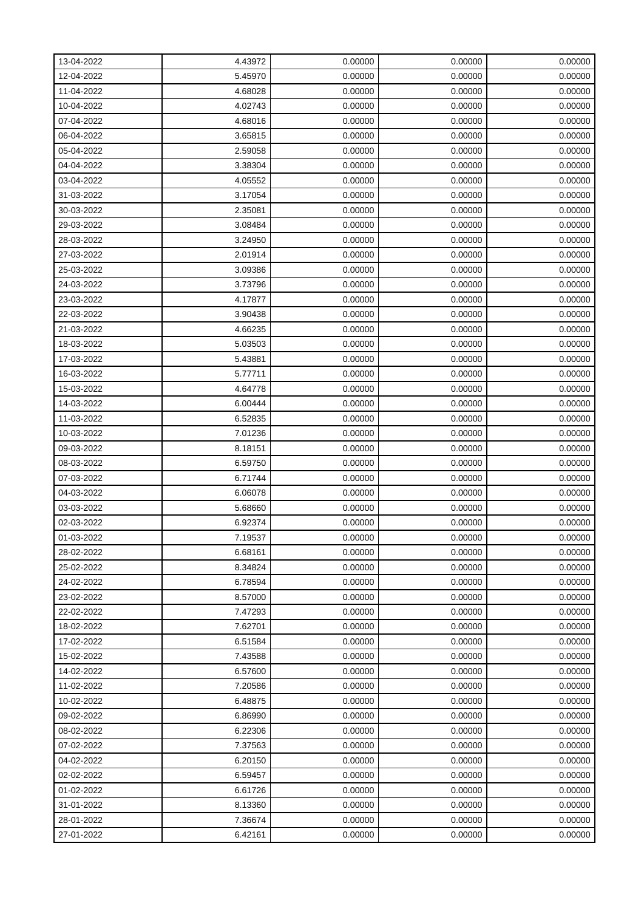| 13-04-2022 | 4.43972 | 0.00000 | 0.00000 | 0.00000 |
|------------|---------|---------|---------|---------|
| 12-04-2022 | 5.45970 | 0.00000 | 0.00000 | 0.00000 |
| 11-04-2022 | 4.68028 | 0.00000 | 0.00000 | 0.00000 |
| 10-04-2022 | 4.02743 | 0.00000 | 0.00000 | 0.00000 |
| 07-04-2022 | 4.68016 | 0.00000 | 0.00000 | 0.00000 |
| 06-04-2022 | 3.65815 | 0.00000 | 0.00000 | 0.00000 |
| 05-04-2022 | 2.59058 | 0.00000 | 0.00000 | 0.00000 |
| 04-04-2022 | 3.38304 | 0.00000 | 0.00000 | 0.00000 |
| 03-04-2022 | 4.05552 | 0.00000 | 0.00000 | 0.00000 |
| 31-03-2022 | 3.17054 | 0.00000 | 0.00000 | 0.00000 |
| 30-03-2022 | 2.35081 | 0.00000 | 0.00000 | 0.00000 |
| 29-03-2022 | 3.08484 | 0.00000 | 0.00000 | 0.00000 |
| 28-03-2022 | 3.24950 | 0.00000 | 0.00000 | 0.00000 |
| 27-03-2022 | 2.01914 | 0.00000 | 0.00000 | 0.00000 |
| 25-03-2022 | 3.09386 | 0.00000 | 0.00000 | 0.00000 |
| 24-03-2022 | 3.73796 | 0.00000 | 0.00000 | 0.00000 |
| 23-03-2022 | 4.17877 | 0.00000 | 0.00000 | 0.00000 |
| 22-03-2022 | 3.90438 | 0.00000 | 0.00000 | 0.00000 |
| 21-03-2022 | 4.66235 | 0.00000 | 0.00000 | 0.00000 |
| 18-03-2022 | 5.03503 | 0.00000 | 0.00000 | 0.00000 |
| 17-03-2022 | 5.43881 | 0.00000 | 0.00000 | 0.00000 |
| 16-03-2022 | 5.77711 | 0.00000 | 0.00000 | 0.00000 |
| 15-03-2022 | 4.64778 | 0.00000 | 0.00000 | 0.00000 |
| 14-03-2022 | 6.00444 | 0.00000 | 0.00000 | 0.00000 |
| 11-03-2022 | 6.52835 | 0.00000 | 0.00000 | 0.00000 |
| 10-03-2022 | 7.01236 | 0.00000 | 0.00000 | 0.00000 |
| 09-03-2022 | 8.18151 | 0.00000 | 0.00000 | 0.00000 |
| 08-03-2022 | 6.59750 | 0.00000 | 0.00000 | 0.00000 |
| 07-03-2022 | 6.71744 | 0.00000 | 0.00000 | 0.00000 |
| 04-03-2022 | 6.06078 | 0.00000 | 0.00000 | 0.00000 |
| 03-03-2022 | 5.68660 | 0.00000 | 0.00000 | 0.00000 |
| 02-03-2022 | 6.92374 | 0.00000 | 0.00000 | 0.00000 |
| 01-03-2022 | 7.19537 | 0.00000 | 0.00000 | 0.00000 |
| 28-02-2022 | 6.68161 | 0.00000 | 0.00000 | 0.00000 |
| 25-02-2022 | 8.34824 | 0.00000 | 0.00000 | 0.00000 |
| 24-02-2022 | 6.78594 | 0.00000 | 0.00000 | 0.00000 |
| 23-02-2022 | 8.57000 | 0.00000 | 0.00000 | 0.00000 |
| 22-02-2022 | 7.47293 | 0.00000 | 0.00000 | 0.00000 |
| 18-02-2022 | 7.62701 | 0.00000 | 0.00000 | 0.00000 |
| 17-02-2022 | 6.51584 | 0.00000 | 0.00000 | 0.00000 |
| 15-02-2022 | 7.43588 | 0.00000 | 0.00000 | 0.00000 |
| 14-02-2022 | 6.57600 | 0.00000 | 0.00000 | 0.00000 |
| 11-02-2022 | 7.20586 | 0.00000 | 0.00000 | 0.00000 |
| 10-02-2022 | 6.48875 | 0.00000 | 0.00000 | 0.00000 |
| 09-02-2022 | 6.86990 | 0.00000 | 0.00000 | 0.00000 |
| 08-02-2022 | 6.22306 | 0.00000 | 0.00000 | 0.00000 |
| 07-02-2022 | 7.37563 | 0.00000 | 0.00000 | 0.00000 |
| 04-02-2022 | 6.20150 | 0.00000 | 0.00000 | 0.00000 |
| 02-02-2022 | 6.59457 | 0.00000 | 0.00000 | 0.00000 |
| 01-02-2022 | 6.61726 | 0.00000 | 0.00000 | 0.00000 |
| 31-01-2022 | 8.13360 | 0.00000 | 0.00000 | 0.00000 |
| 28-01-2022 | 7.36674 | 0.00000 | 0.00000 | 0.00000 |
| 27-01-2022 | 6.42161 | 0.00000 | 0.00000 | 0.00000 |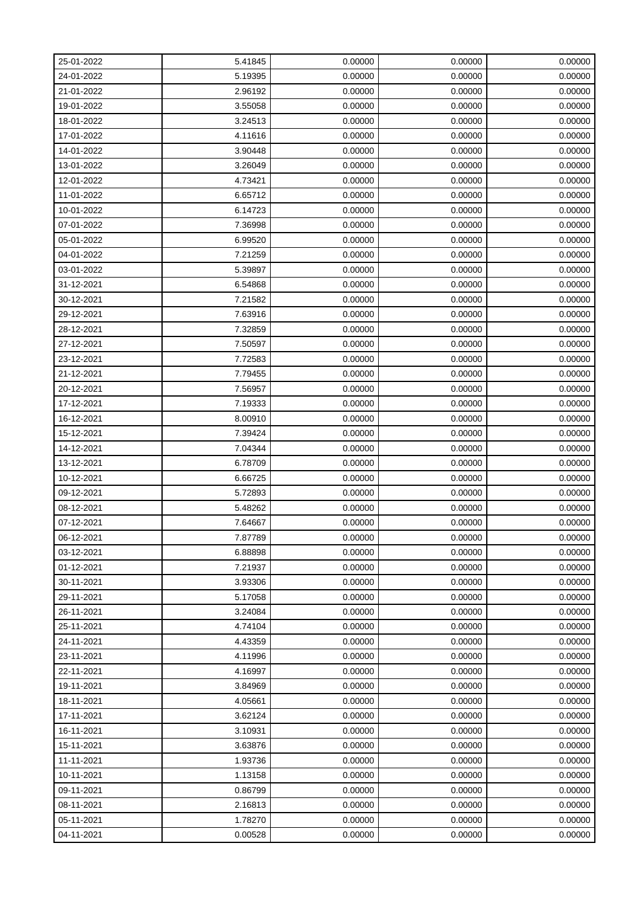| 25-01-2022 | 5.41845 | 0.00000 | 0.00000 | 0.00000 |
|------------|---------|---------|---------|---------|
| 24-01-2022 | 5.19395 | 0.00000 | 0.00000 | 0.00000 |
| 21-01-2022 | 2.96192 | 0.00000 | 0.00000 | 0.00000 |
| 19-01-2022 | 3.55058 | 0.00000 | 0.00000 | 0.00000 |
| 18-01-2022 | 3.24513 | 0.00000 | 0.00000 | 0.00000 |
| 17-01-2022 | 4.11616 | 0.00000 | 0.00000 | 0.00000 |
| 14-01-2022 | 3.90448 | 0.00000 | 0.00000 | 0.00000 |
| 13-01-2022 | 3.26049 | 0.00000 | 0.00000 | 0.00000 |
| 12-01-2022 | 4.73421 | 0.00000 | 0.00000 | 0.00000 |
| 11-01-2022 | 6.65712 | 0.00000 | 0.00000 | 0.00000 |
| 10-01-2022 | 6.14723 | 0.00000 | 0.00000 | 0.00000 |
| 07-01-2022 | 7.36998 | 0.00000 | 0.00000 | 0.00000 |
| 05-01-2022 | 6.99520 | 0.00000 | 0.00000 | 0.00000 |
| 04-01-2022 | 7.21259 | 0.00000 | 0.00000 | 0.00000 |
| 03-01-2022 | 5.39897 | 0.00000 | 0.00000 | 0.00000 |
| 31-12-2021 | 6.54868 | 0.00000 | 0.00000 | 0.00000 |
| 30-12-2021 | 7.21582 | 0.00000 | 0.00000 | 0.00000 |
| 29-12-2021 | 7.63916 | 0.00000 | 0.00000 | 0.00000 |
| 28-12-2021 | 7.32859 | 0.00000 | 0.00000 | 0.00000 |
| 27-12-2021 | 7.50597 | 0.00000 | 0.00000 | 0.00000 |
| 23-12-2021 | 7.72583 | 0.00000 | 0.00000 | 0.00000 |
| 21-12-2021 | 7.79455 | 0.00000 | 0.00000 | 0.00000 |
| 20-12-2021 | 7.56957 | 0.00000 | 0.00000 | 0.00000 |
| 17-12-2021 | 7.19333 | 0.00000 | 0.00000 | 0.00000 |
| 16-12-2021 | 8.00910 | 0.00000 | 0.00000 | 0.00000 |
| 15-12-2021 | 7.39424 | 0.00000 | 0.00000 | 0.00000 |
| 14-12-2021 | 7.04344 | 0.00000 | 0.00000 | 0.00000 |
| 13-12-2021 | 6.78709 | 0.00000 | 0.00000 | 0.00000 |
| 10-12-2021 | 6.66725 | 0.00000 | 0.00000 | 0.00000 |
| 09-12-2021 | 5.72893 | 0.00000 | 0.00000 | 0.00000 |
| 08-12-2021 | 5.48262 | 0.00000 | 0.00000 | 0.00000 |
| 07-12-2021 | 7.64667 | 0.00000 | 0.00000 | 0.00000 |
| 06-12-2021 | 7.87789 | 0.00000 | 0.00000 | 0.00000 |
| 03-12-2021 | 6.88898 | 0.00000 | 0.00000 | 0.00000 |
| 01-12-2021 | 7.21937 | 0.00000 | 0.00000 | 0.00000 |
| 30-11-2021 | 3.93306 | 0.00000 | 0.00000 | 0.00000 |
| 29-11-2021 | 5.17058 | 0.00000 | 0.00000 | 0.00000 |
| 26-11-2021 | 3.24084 | 0.00000 | 0.00000 | 0.00000 |
| 25-11-2021 | 4.74104 | 0.00000 | 0.00000 | 0.00000 |
| 24-11-2021 | 4.43359 | 0.00000 | 0.00000 | 0.00000 |
| 23-11-2021 | 4.11996 | 0.00000 | 0.00000 | 0.00000 |
| 22-11-2021 | 4.16997 | 0.00000 | 0.00000 | 0.00000 |
| 19-11-2021 | 3.84969 | 0.00000 | 0.00000 | 0.00000 |
| 18-11-2021 | 4.05661 | 0.00000 | 0.00000 | 0.00000 |
| 17-11-2021 | 3.62124 | 0.00000 | 0.00000 | 0.00000 |
| 16-11-2021 | 3.10931 | 0.00000 | 0.00000 | 0.00000 |
| 15-11-2021 | 3.63876 | 0.00000 | 0.00000 | 0.00000 |
| 11-11-2021 | 1.93736 | 0.00000 | 0.00000 | 0.00000 |
| 10-11-2021 | 1.13158 | 0.00000 | 0.00000 | 0.00000 |
| 09-11-2021 | 0.86799 | 0.00000 | 0.00000 | 0.00000 |
| 08-11-2021 | 2.16813 | 0.00000 | 0.00000 | 0.00000 |
| 05-11-2021 | 1.78270 | 0.00000 | 0.00000 | 0.00000 |
| 04-11-2021 | 0.00528 | 0.00000 | 0.00000 | 0.00000 |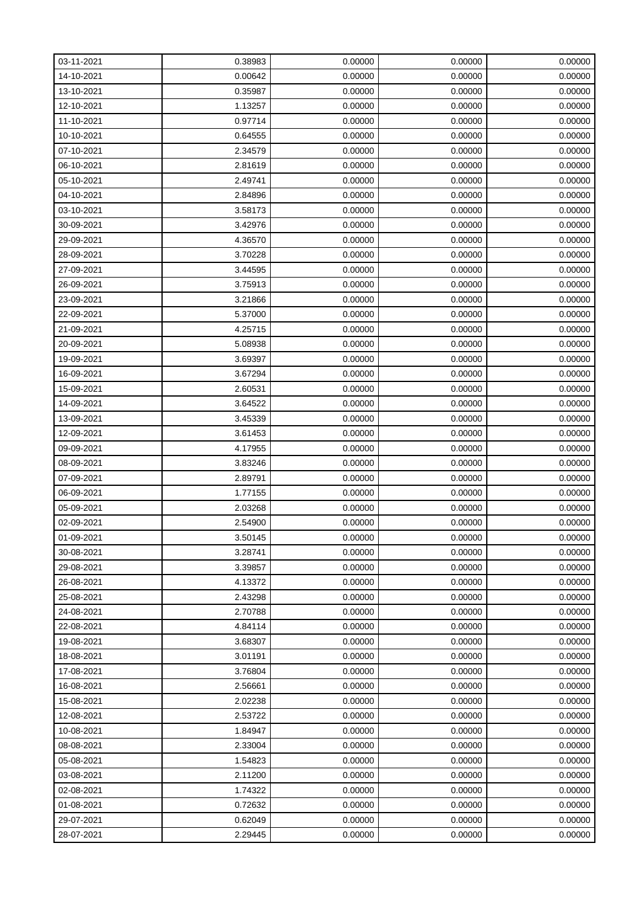| 03-11-2021 | 0.38983 | 0.00000 | 0.00000 | 0.00000 |
|------------|---------|---------|---------|---------|
| 14-10-2021 | 0.00642 | 0.00000 | 0.00000 | 0.00000 |
| 13-10-2021 | 0.35987 | 0.00000 | 0.00000 | 0.00000 |
| 12-10-2021 | 1.13257 | 0.00000 | 0.00000 | 0.00000 |
| 11-10-2021 | 0.97714 | 0.00000 | 0.00000 | 0.00000 |
| 10-10-2021 | 0.64555 | 0.00000 | 0.00000 | 0.00000 |
| 07-10-2021 | 2.34579 | 0.00000 | 0.00000 | 0.00000 |
| 06-10-2021 | 2.81619 | 0.00000 | 0.00000 | 0.00000 |
| 05-10-2021 | 2.49741 | 0.00000 | 0.00000 | 0.00000 |
| 04-10-2021 | 2.84896 | 0.00000 | 0.00000 | 0.00000 |
| 03-10-2021 | 3.58173 | 0.00000 | 0.00000 | 0.00000 |
| 30-09-2021 | 3.42976 | 0.00000 | 0.00000 | 0.00000 |
| 29-09-2021 | 4.36570 | 0.00000 | 0.00000 | 0.00000 |
| 28-09-2021 | 3.70228 | 0.00000 | 0.00000 | 0.00000 |
| 27-09-2021 | 3.44595 | 0.00000 | 0.00000 | 0.00000 |
| 26-09-2021 | 3.75913 | 0.00000 | 0.00000 | 0.00000 |
| 23-09-2021 | 3.21866 | 0.00000 | 0.00000 | 0.00000 |
| 22-09-2021 | 5.37000 | 0.00000 | 0.00000 | 0.00000 |
| 21-09-2021 | 4.25715 | 0.00000 | 0.00000 | 0.00000 |
| 20-09-2021 | 5.08938 | 0.00000 | 0.00000 | 0.00000 |
| 19-09-2021 | 3.69397 | 0.00000 | 0.00000 | 0.00000 |
| 16-09-2021 | 3.67294 | 0.00000 | 0.00000 | 0.00000 |
| 15-09-2021 | 2.60531 | 0.00000 | 0.00000 | 0.00000 |
| 14-09-2021 | 3.64522 | 0.00000 | 0.00000 | 0.00000 |
| 13-09-2021 | 3.45339 | 0.00000 | 0.00000 | 0.00000 |
| 12-09-2021 | 3.61453 | 0.00000 | 0.00000 | 0.00000 |
| 09-09-2021 | 4.17955 | 0.00000 | 0.00000 | 0.00000 |
| 08-09-2021 | 3.83246 | 0.00000 | 0.00000 | 0.00000 |
| 07-09-2021 | 2.89791 | 0.00000 | 0.00000 | 0.00000 |
| 06-09-2021 | 1.77155 | 0.00000 | 0.00000 | 0.00000 |
| 05-09-2021 | 2.03268 | 0.00000 | 0.00000 | 0.00000 |
| 02-09-2021 | 2.54900 | 0.00000 | 0.00000 | 0.00000 |
| 01-09-2021 | 3.50145 | 0.00000 | 0.00000 | 0.00000 |
| 30-08-2021 | 3.28741 | 0.00000 | 0.00000 | 0.00000 |
| 29-08-2021 | 3.39857 | 0.00000 | 0.00000 | 0.00000 |
| 26-08-2021 | 4.13372 | 0.00000 | 0.00000 | 0.00000 |
| 25-08-2021 | 2.43298 | 0.00000 | 0.00000 | 0.00000 |
| 24-08-2021 | 2.70788 | 0.00000 | 0.00000 | 0.00000 |
| 22-08-2021 | 4.84114 | 0.00000 | 0.00000 | 0.00000 |
| 19-08-2021 | 3.68307 | 0.00000 | 0.00000 | 0.00000 |
| 18-08-2021 | 3.01191 | 0.00000 | 0.00000 | 0.00000 |
| 17-08-2021 | 3.76804 | 0.00000 | 0.00000 | 0.00000 |
| 16-08-2021 | 2.56661 | 0.00000 | 0.00000 | 0.00000 |
| 15-08-2021 | 2.02238 | 0.00000 | 0.00000 | 0.00000 |
| 12-08-2021 | 2.53722 | 0.00000 | 0.00000 | 0.00000 |
| 10-08-2021 | 1.84947 | 0.00000 | 0.00000 | 0.00000 |
| 08-08-2021 | 2.33004 | 0.00000 | 0.00000 | 0.00000 |
| 05-08-2021 | 1.54823 | 0.00000 | 0.00000 | 0.00000 |
| 03-08-2021 | 2.11200 | 0.00000 | 0.00000 | 0.00000 |
| 02-08-2021 | 1.74322 | 0.00000 | 0.00000 | 0.00000 |
| 01-08-2021 | 0.72632 | 0.00000 | 0.00000 | 0.00000 |
| 29-07-2021 | 0.62049 | 0.00000 | 0.00000 | 0.00000 |
| 28-07-2021 | 2.29445 | 0.00000 | 0.00000 | 0.00000 |